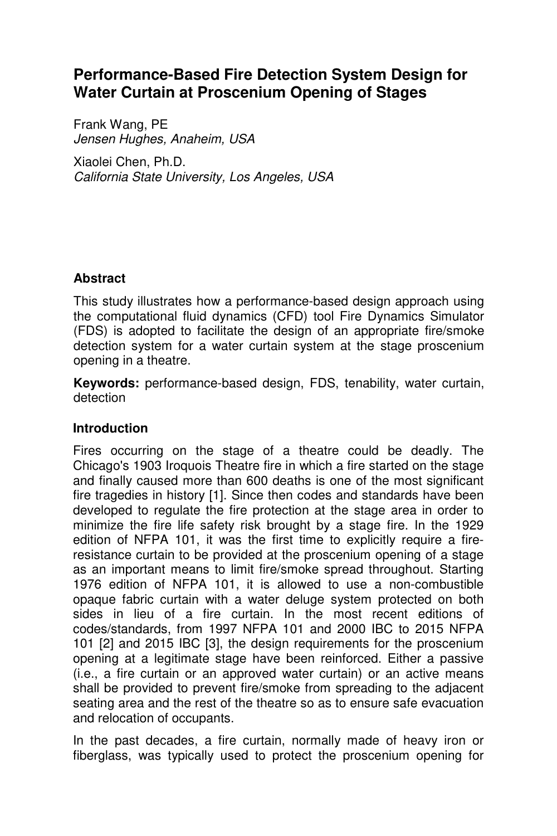# **Performance-Based Fire Detection System Design for Water Curtain at Proscenium Opening of Stages**

Frank Wang, PE *Jensen Hughes, Anaheim, USA* 

Xiaolei Chen, Ph.D. *California State University, Los Angeles, USA* 

## **Abstract**

This study illustrates how a performance-based design approach using the computational fluid dynamics (CFD) tool Fire Dynamics Simulator (FDS) is adopted to facilitate the design of an appropriate fire/smoke detection system for a water curtain system at the stage proscenium opening in a theatre.

**Keywords:** performance-based design, FDS, tenability, water curtain, detection

### **Introduction**

Fires occurring on the stage of a theatre could be deadly. The Chicago's 1903 Iroquois Theatre fire in which a fire started on the stage and finally caused more than 600 deaths is one of the most significant fire tragedies in history [1]. Since then codes and standards have been developed to regulate the fire protection at the stage area in order to minimize the fire life safety risk brought by a stage fire. In the 1929 edition of NFPA 101, it was the first time to explicitly require a fireresistance curtain to be provided at the proscenium opening of a stage as an important means to limit fire/smoke spread throughout. Starting 1976 edition of NFPA 101, it is allowed to use a non-combustible opaque fabric curtain with a water deluge system protected on both sides in lieu of a fire curtain. In the most recent editions of codes/standards, from 1997 NFPA 101 and 2000 IBC to 2015 NFPA 101 [2] and 2015 IBC [3], the design requirements for the proscenium opening at a legitimate stage have been reinforced. Either a passive (i.e., a fire curtain or an approved water curtain) or an active means shall be provided to prevent fire/smoke from spreading to the adjacent seating area and the rest of the theatre so as to ensure safe evacuation and relocation of occupants.

In the past decades, a fire curtain, normally made of heavy iron or fiberglass, was typically used to protect the proscenium opening for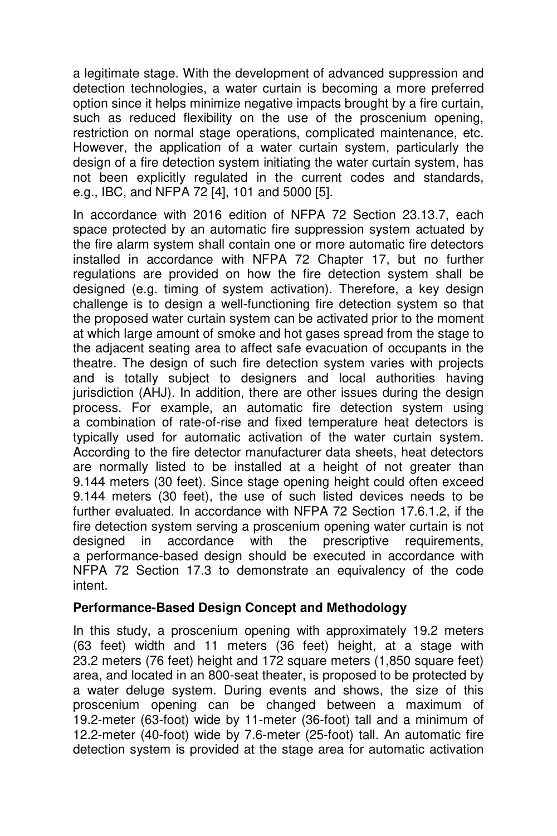a legitimate stage. With the development of advanced suppression and detection technologies, a water curtain is becoming a more preferred option since it helps minimize negative impacts brought by a fire curtain, such as reduced flexibility on the use of the proscenium opening, restriction on normal stage operations, complicated maintenance, etc. However, the application of a water curtain system, particularly the design of a fire detection system initiating the water curtain system, has not been explicitly regulated in the current codes and standards, e.g., IBC, and NFPA 72 [4], 101 and 5000 [5].

In accordance with 2016 edition of NFPA 72 Section 23.13.7, each space protected by an automatic fire suppression system actuated by the fire alarm system shall contain one or more automatic fire detectors installed in accordance with NFPA 72 Chapter 17, but no further regulations are provided on how the fire detection system shall be designed (e.g. timing of system activation). Therefore, a key design challenge is to design a well-functioning fire detection system so that the proposed water curtain system can be activated prior to the moment at which large amount of smoke and hot gases spread from the stage to the adjacent seating area to affect safe evacuation of occupants in the theatre. The design of such fire detection system varies with projects and is totally subject to designers and local authorities having jurisdiction (AHJ). In addition, there are other issues during the design process. For example, an automatic fire detection system using a combination of rate-of-rise and fixed temperature heat detectors is typically used for automatic activation of the water curtain system. According to the fire detector manufacturer data sheets, heat detectors are normally listed to be installed at a height of not greater than 9.144 meters (30 feet). Since stage opening height could often exceed 9.144 meters (30 feet), the use of such listed devices needs to be further evaluated. In accordance with NFPA 72 Section 17.6.1.2, if the fire detection system serving a proscenium opening water curtain is not designed in accordance with the prescriptive requirements, a performance-based design should be executed in accordance with NFPA 72 Section 17.3 to demonstrate an equivalency of the code intent.

### **Performance-Based Design Concept and Methodology**

In this study, a proscenium opening with approximately 19.2 meters (63 feet) width and 11 meters (36 feet) height, at a stage with 23.2 meters (76 feet) height and 172 square meters (1,850 square feet) area, and located in an 800-seat theater, is proposed to be protected by a water deluge system. During events and shows, the size of this proscenium opening can be changed between a maximum of 19.2-meter (63-foot) wide by 11-meter (36-foot) tall and a minimum of 12.2-meter (40-foot) wide by 7.6-meter (25-foot) tall. An automatic fire detection system is provided at the stage area for automatic activation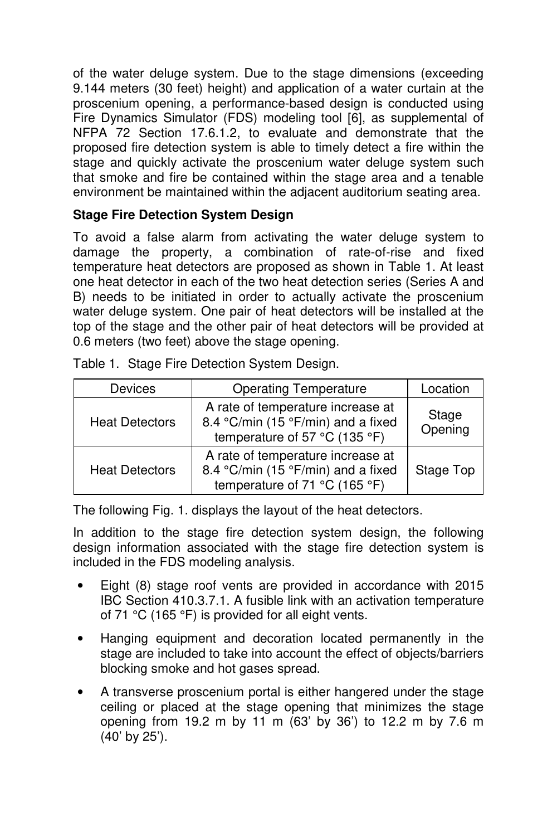of the water deluge system. Due to the stage dimensions (exceeding 9.144 meters (30 feet) height) and application of a water curtain at the proscenium opening, a performance-based design is conducted using Fire Dynamics Simulator (FDS) modeling tool [6], as supplemental of NFPA 72 Section 17.6.1.2, to evaluate and demonstrate that the proposed fire detection system is able to timely detect a fire within the stage and quickly activate the proscenium water deluge system such that smoke and fire be contained within the stage area and a tenable environment be maintained within the adjacent auditorium seating area.

# **Stage Fire Detection System Design**

To avoid a false alarm from activating the water deluge system to damage the property, a combination of rate-of-rise and fixed temperature heat detectors are proposed as shown in Table 1. At least one heat detector in each of the two heat detection series (Series A and B) needs to be initiated in order to actually activate the proscenium water deluge system. One pair of heat detectors will be installed at the top of the stage and the other pair of heat detectors will be provided at 0.6 meters (two feet) above the stage opening.

| Devices               | <b>Operating Temperature</b>                                                                             | Location         |
|-----------------------|----------------------------------------------------------------------------------------------------------|------------------|
| <b>Heat Detectors</b> | A rate of temperature increase at<br>8.4 °C/min (15 °F/min) and a fixed<br>temperature of 57 °C (135 °F) | Stage<br>Opening |
| <b>Heat Detectors</b> | A rate of temperature increase at<br>8.4 °C/min (15 °F/min) and a fixed<br>temperature of 71 °C (165 °F) | Stage Top        |

Table 1. Stage Fire Detection System Design.

The following Fig. 1. displays the layout of the heat detectors.

In addition to the stage fire detection system design, the following design information associated with the stage fire detection system is included in the FDS modeling analysis.

- Eight (8) stage roof vents are provided in accordance with 2015 IBC Section 410.3.7.1. A fusible link with an activation temperature of 71 °C (165 °F) is provided for all eight vents.
- Hanging equipment and decoration located permanently in the stage are included to take into account the effect of objects/barriers blocking smoke and hot gases spread.
- A transverse proscenium portal is either hangered under the stage ceiling or placed at the stage opening that minimizes the stage opening from 19.2 m by 11 m (63' by 36') to 12.2 m by 7.6 m (40' by 25').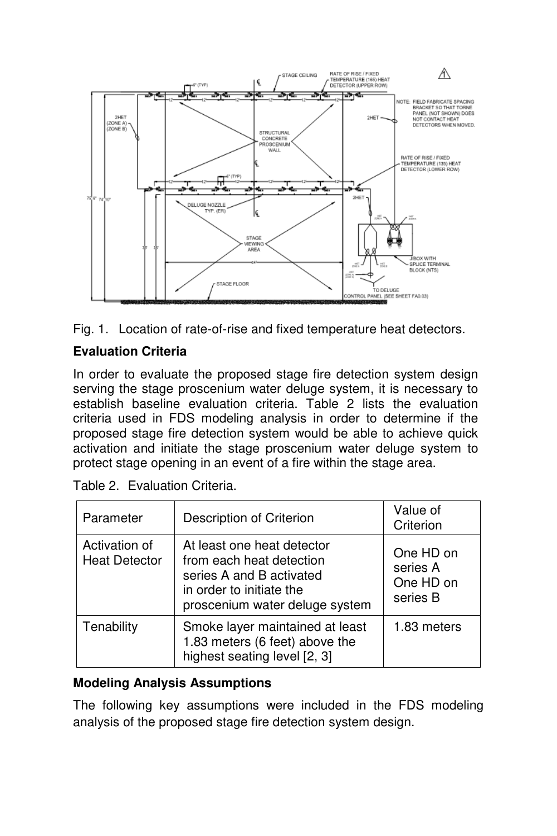



# **Evaluation Criteria**

In order to evaluate the proposed stage fire detection system design serving the stage proscenium water deluge system, it is necessary to establish baseline evaluation criteria. Table 2 lists the evaluation criteria used in FDS modeling analysis in order to determine if the proposed stage fire detection system would be able to achieve quick activation and initiate the stage proscenium water deluge system to protect stage opening in an event of a fire within the stage area.

| Parameter                             | Description of Criterion                                                                                                                         | Value of<br>Criterion                          |
|---------------------------------------|--------------------------------------------------------------------------------------------------------------------------------------------------|------------------------------------------------|
| Activation of<br><b>Heat Detector</b> | At least one heat detector<br>from each heat detection<br>series A and B activated<br>in order to initiate the<br>proscenium water deluge system | One HD on<br>series A<br>One HD on<br>series B |
| Tenability                            | Smoke layer maintained at least<br>1.83 meters (6 feet) above the<br>highest seating level [2, 3]                                                | 1.83 meters                                    |

Table 2. Evaluation Criteria.

### **Modeling Analysis Assumptions**

The following key assumptions were included in the FDS modeling analysis of the proposed stage fire detection system design.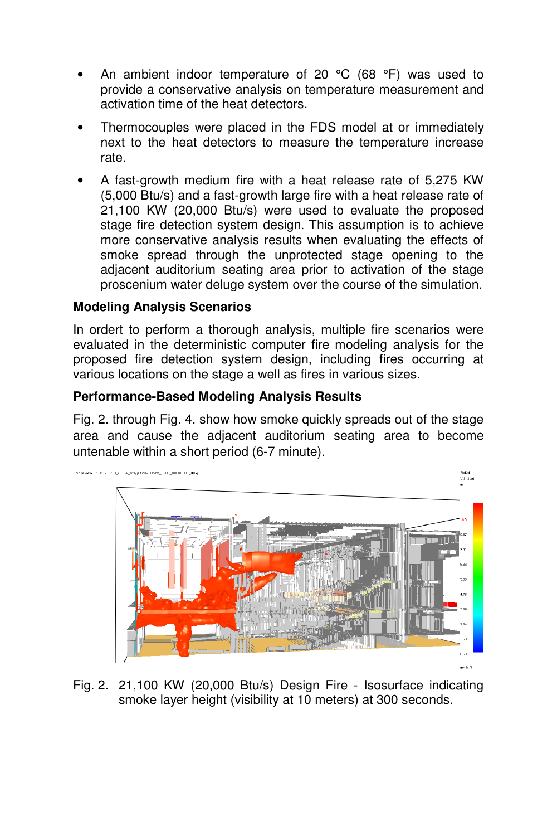- An ambient indoor temperature of 20  $^{\circ}$ C (68  $^{\circ}$ F) was used to provide a conservative analysis on temperature measurement and activation time of the heat detectors.
- Thermocouples were placed in the FDS model at or immediately next to the heat detectors to measure the temperature increase rate.
- A fast-growth medium fire with a heat release rate of 5,275 KW (5,000 Btu/s) and a fast-growth large fire with a heat release rate of 21,100 KW (20,000 Btu/s) were used to evaluate the proposed stage fire detection system design. This assumption is to achieve more conservative analysis results when evaluating the effects of smoke spread through the unprotected stage opening to the adjacent auditorium seating area prior to activation of the stage proscenium water deluge system over the course of the simulation.

### **Modeling Analysis Scenarios**

In ordert to perform a thorough analysis, multiple fire scenarios were evaluated in the deterministic computer fire modeling analysis for the proposed fire detection system design, including fires occurring at various locations on the stage a well as fires in various sizes.

### **Performance-Based Modeling Analysis Results**

Fig. 2. through Fig. 4. show how smoke quickly spreads out of the stage area and cause the adjacent auditorium seating area to become untenable within a short period (6-7 minute).



Fig. 2. 21,100 KW (20,000 Btu/s) Design Fire - Isosurface indicating smoke layer height (visibility at 10 meters) at 300 seconds.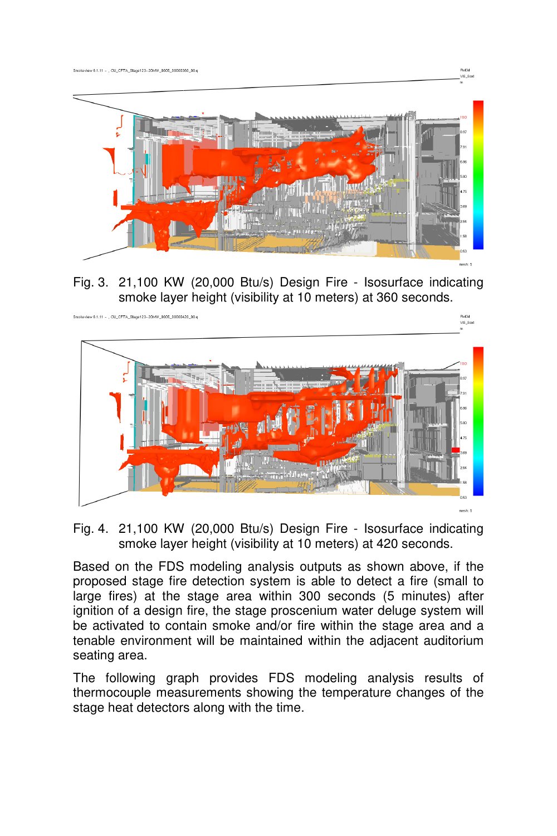

Fig. 3. 21,100 KW (20,000 Btu/s) Design Fire - Isosurface indicating smoke layer height (visibility at 10 meters) at 360 seconds.



Fig. 4. 21,100 KW (20,000 Btu/s) Design Fire - Isosurface indicating smoke layer height (visibility at 10 meters) at 420 seconds.

Based on the FDS modeling analysis outputs as shown above, if the proposed stage fire detection system is able to detect a fire (small to large fires) at the stage area within 300 seconds (5 minutes) after ignition of a design fire, the stage proscenium water deluge system will be activated to contain smoke and/or fire within the stage area and a tenable environment will be maintained within the adjacent auditorium seating area.

The following graph provides FDS modeling analysis results of thermocouple measurements showing the temperature changes of the stage heat detectors along with the time.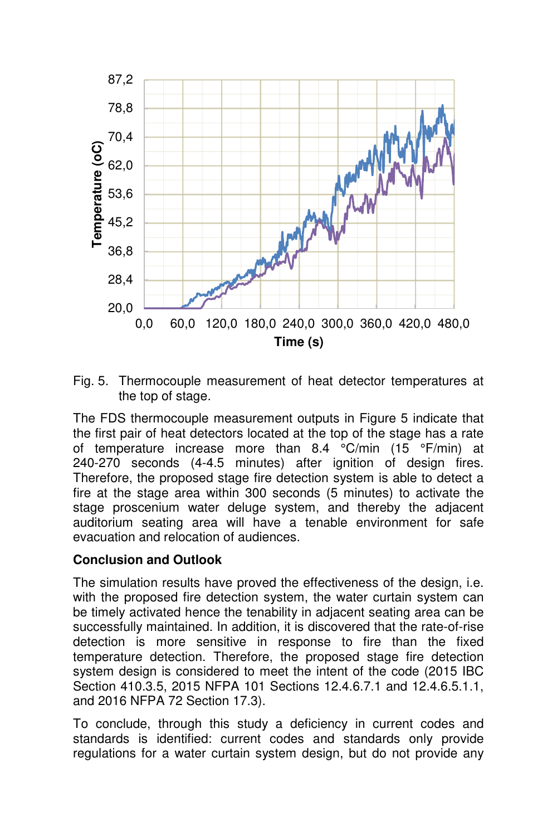

Fig. 5. Thermocouple measurement of heat detector temperatures at the top of stage.

The FDS thermocouple measurement outputs in Figure 5 indicate that the first pair of heat detectors located at the top of the stage has a rate of temperature increase more than 8.4 °C/min (15 °F/min) at 240-270 seconds (4-4.5 minutes) after ignition of design fires. Therefore, the proposed stage fire detection system is able to detect a fire at the stage area within 300 seconds (5 minutes) to activate the stage proscenium water deluge system, and thereby the adjacent auditorium seating area will have a tenable environment for safe evacuation and relocation of audiences.

#### **Conclusion and Outlook**

The simulation results have proved the effectiveness of the design, i.e. with the proposed fire detection system, the water curtain system can be timely activated hence the tenability in adjacent seating area can be successfully maintained. In addition, it is discovered that the rate-of-rise detection is more sensitive in response to fire than the fixed temperature detection. Therefore, the proposed stage fire detection system design is considered to meet the intent of the code (2015 IBC Section 410.3.5, 2015 NFPA 101 Sections 12.4.6.7.1 and 12.4.6.5.1.1, and 2016 NFPA 72 Section 17.3).

To conclude, through this study a deficiency in current codes and standards is identified: current codes and standards only provide regulations for a water curtain system design, but do not provide any